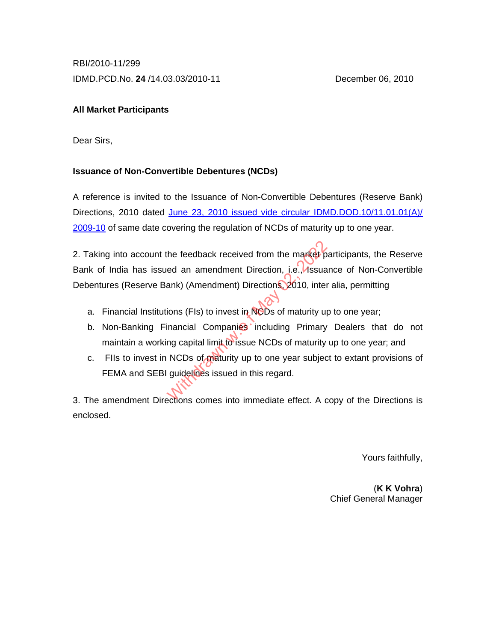RBI/2010-11/299 IDMD.PCD.No. **24** /14.03.03/2010-11 December 06, 2010

# **All Market Participants**

Dear Sirs,

# **Issuance of Non-Convertible Debentures (NCDs)**

A reference is invited to the Issuance of Non-Convertible Debentures (Reserve Bank) Directions, 2010 dated June 23, 2010 issued vide circular IDMD.DOD.10/11.01.01(A)/ [2009-10](http://www.rbi.org.in/scripts/NotificationUser.aspx?Id=5743&Mode=0) of same date covering the regulation of NCDs of maturity up to one year.

2. Taking into account the feedback received from the market participants, the Reserve Bank of India has issued an amendment Direction, i.e., Issuance of Non-Convertible Debentures (Reserve Bank) (Amendment) Directions, 2010, inter alia, permitting the feedback received from the market p<br>ed an amendment Direction, i.e., Issua<br>ank) (Amendment) Directions, 2010, inter<br>ions (FIs) to invest in NCDs of maturity up<br>inancial Companies including Primary<br>ng capital limit to i

- a. Financial Institutions (FIs) to invest in NCDs of maturity up to one year;
- b. Non-Banking Financial Companies including Primary Dealers that do not maintain a working capital limit to issue NCDs of maturity up to one year; and
- c. FIIs to invest in NCDs of maturity up to one year subject to extant provisions of FEMA and SEBI guidelines issued in this regard.

3. The amendment Directions comes into immediate effect. A copy of the Directions is enclosed.

Yours faithfully,

(**K K Vohra**) Chief General Manager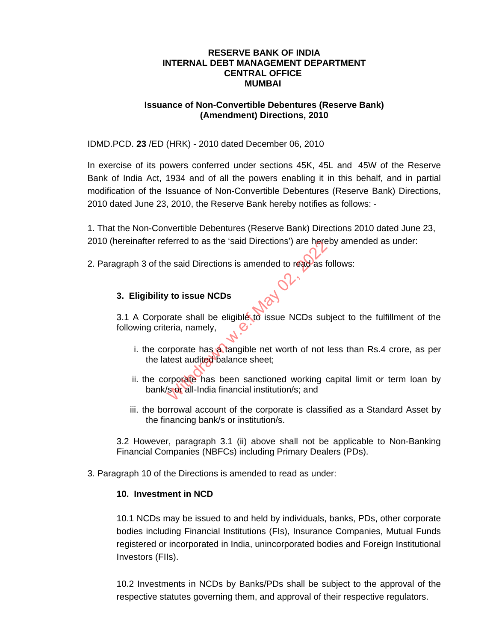#### **RESERVE BANK OF INDIA INTERNAL DEBT MANAGEMENT DEPARTMENT CENTRAL OFFICE MUMBAI**

#### **Issuance of Non-Convertible Debentures (Reserve Bank) (Amendment) Directions, 2010**

IDMD.PCD. **23** /ED (HRK) - 2010 dated December 06, 2010

In exercise of its powers conferred under sections 45K, 45L and 45W of the Reserve Bank of India Act, 1934 and of all the powers enabling it in this behalf, and in partial modification of the Issuance of Non-Convertible Debentures (Reserve Bank) Directions, 2010 dated June 23, 2010, the Reserve Bank hereby notifies as follows: -

1. That the Non-Convertible Debentures (Reserve Bank) Directions 2010 dated June 23, 2010 (hereinafter referred to as the 'said Directions') are hereby amended as under:

2. Paragraph 3 of the said Directions is amended to read as follows:<br>3. Elimibility 1-1:

# **3. Eligibility to issue NCDs**

3.1 A Corporate shall be eligible to issue NCDs subject to the fulfillment of the following criteria, namely, France II Directions is amended to read as free said Directions is amended to read as free said Directions is amended to read as free state shall be eligible to issue NCDs subsetia, namely,<br>reporate has a tangible net wort

- i. the corporate has a tangible net worth of not less than Rs.4 crore, as per the latest audited balance sheet;
- ii. the corporate has been sanctioned working capital limit or term loan by bank/s or all-India financial institution/s; and
- iii. the borrowal account of the corporate is classified as a Standard Asset by the financing bank/s or institution/s.

 3.2 However, paragraph 3.1 (ii) above shall not be applicable to Non-Banking Financial Companies (NBFCs) including Primary Dealers (PDs).

3. Paragraph 10 of the Directions is amended to read as under:

### **10. Investment in NCD**

10.1 NCDs may be issued to and held by individuals, banks, PDs, other corporate bodies including Financial Institutions (FIs), Insurance Companies, Mutual Funds registered or incorporated in India, unincorporated bodies and Foreign Institutional Investors (FIIs).

10.2 Investments in NCDs by Banks/PDs shall be subject to the approval of the respective statutes governing them, and approval of their respective regulators.